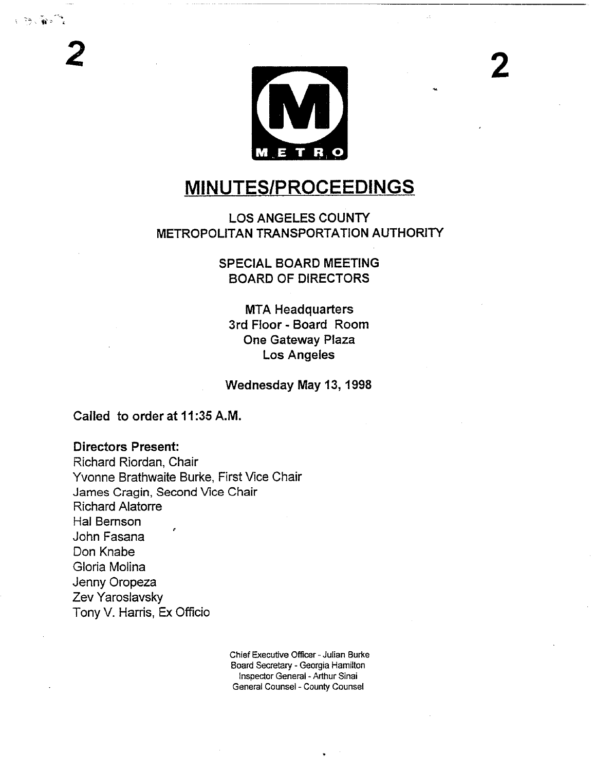

# **MINUTES/PROCEEDINGS**

### LOS ANGELES COUNTY METROPOLITAN TRANSPORTATION AUTHORITY

SPECIAL BOARD MEETING BOARD OF DIRECTORS

MTA Headquarters 3rd Floor- Board Room **One Gateway Plaza** Los Angeles

**Wednesday May 13, 1998**

Called to order at 11:35 A.M.

#### **Directors Present:**

Richard Riordan, Chair Yvonne Brathwaite Burke, First Vice Chair James Cragin, Second Vice Chair Richard Alatorre Hal Bemson John Fasana Don Knabe Gloria Molina Jenny Oropeza Zev Yaroslavsky Tony V. Harris, Ex Officio

> Chief Executive Officer - Julian Burke Board Secretary - Georgia Hamilton Inspector General - Arthur Sinai General Counsel -County Counsel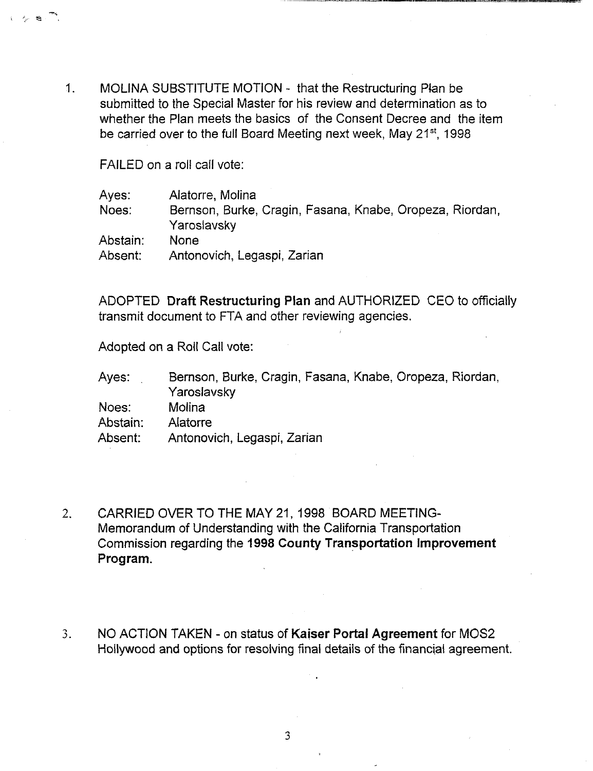$1<sub>1</sub>$ MOLINA SUBSTITUTE MOTION - that the Restructuring Plan be submitted to the Special Master for his review and determination as to whether the Plan meets the basics of the Consent Decree and the item be carried over to the full Board Meeting next week, May 21<sup>st</sup>, 1998

FAILED on a roll call vote:

| Ayes:    | Alatorre, Molina                                                        |
|----------|-------------------------------------------------------------------------|
| Noes:    | Bernson, Burke, Cragin, Fasana, Knabe, Oropeza, Riordan,<br>Yaroslavsky |
| Abstain: | <b>None</b>                                                             |
| Absent:  | Antonovich, Legaspi, Zarian                                             |

ADOPTED Draft Restructuring Plan and AUTHORIZED CEO to officially transmit document to FTA and other reviewing agencies.

Adopted on a Roll Call vote:

| Ayes:    | Bernson, Burke, Cragin, Fasana, Knabe, Oropeza, Riordan, |
|----------|----------------------------------------------------------|
|          | Yaroslavsky                                              |
| Noes:    | Molina                                                   |
| Abstain: | Alatorre                                                 |
| Absent:  | Antonovich, Legaspi, Zarian                              |

- $2.$ CARRIED OVER TO THE MAY 21, 1998 BOARD MEETING-Memorandum of Understanding with the California Transportation Commission regarding the 1998 County Transportation Improvement Program.
- NO ACTION TAKEN on status of Kaiser Portal Agreement for MOS2  $3.$ Hollywood and options for resolving final details of the financial agreement.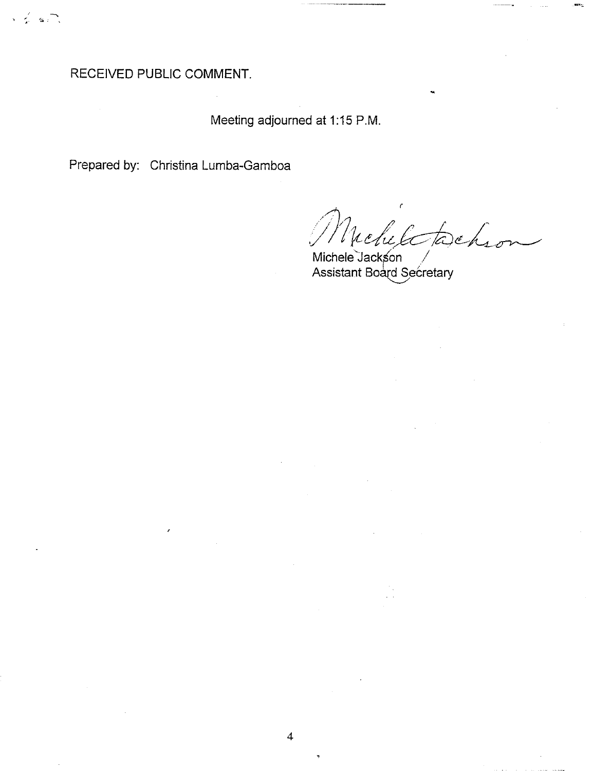RECEIVED PUBLIC COMMENT.

 $\mathbf{G}(\mathbf{r})$ 

Meeting adjourned at 1:15 P.M.

Prepared by: Christina Lumba-Gamboa

tochson Nichele

Michele Jackson<br>Assistant Board Secretary